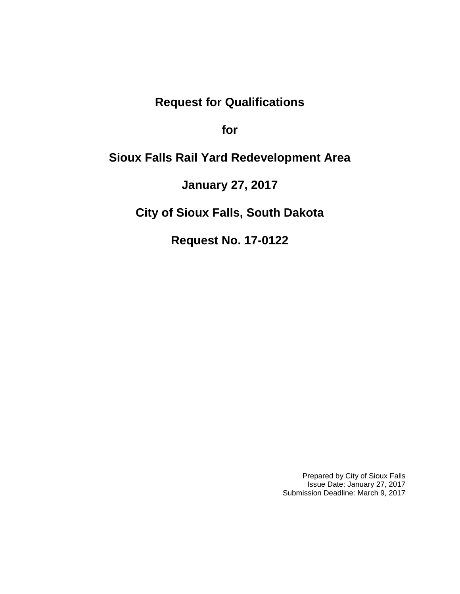# **Request for Qualifications**

**for**

# **Sioux Falls Rail Yard Redevelopment Area**

**January 27, 2017**

**City of Sioux Falls, South Dakota**

**Request No. 17-0122**

Prepared by City of Sioux Falls Issue Date: January 27, 2017 Submission Deadline: March 9, 2017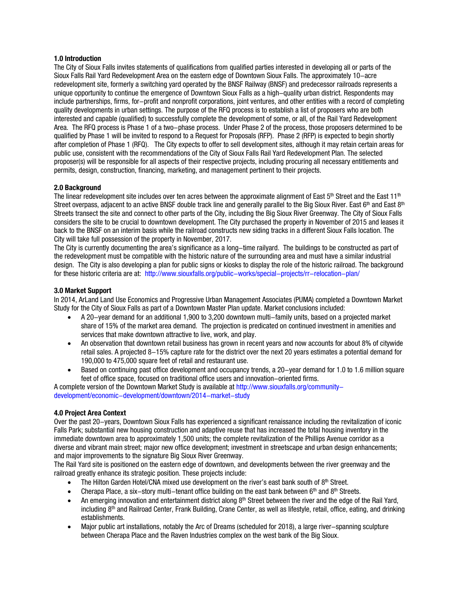### **1.0 Introduction**

The City of Sioux Falls invites statements of qualifications from qualified parties interested in developing all or parts of the Sioux Falls Rail Yard Redevelopment Area on the eastern edge of Downtown Sioux Falls. The approximately 10-acre redevelopment site, formerly a switching yard operated by the BNSF Railway (BNSF) and predecessor railroads represents a unique opportunity to continue the emergence of Downtown Sioux Falls as a high-quality urban district. Respondents may include partnerships, firms, for-profit and nonprofit corporations, joint ventures, and other entities with a record of completing quality developments in urban settings. The purpose of the RFQ process is to establish a list of proposers who are both interested and capable (qualified) to successfully complete the development of some, or all, of the Rail Yard Redevelopment Area. The RFQ process is Phase 1 of a two-phase process. Under Phase 2 of the process, those proposers determined to be qualified by Phase 1 will be invited to respond to a Request for Proposals (RFP). Phase 2 (RFP) is expected to begin shortly after completion of Phase 1 (RFQ). The City expects to offer to sell development sites, although it may retain certain areas for public use, consistent with the recommendations of the City of Sioux Falls Rail Yard Redevelopment Plan. The selected proposer(s) will be responsible for all aspects of their respective projects, including procuring all necessary entitlements and permits, design, construction, financing, marketing, and management pertinent to their projects.

# **2.0 Background**

The linear redevelopment site includes over ten acres between the approximate alignment of East 5<sup>th</sup> Street and the East 11<sup>th</sup> Street overpass, adjacent to an active BNSF double track line and generally parallel to the Big Sioux River. East 6<sup>th</sup> and East 8<sup>th</sup> Streets transect the site and connect to other parts of the City, including the Big Sioux River Greenway. The City of Sioux Falls considers the site to be crucial to downtown development. The City purchased the property in November of 2015 and leases it back to the BNSF on an interim basis while the railroad constructs new siding tracks in a different Sioux Falls location. The City will take full possession of the property in November, 2017.

The City is currently documenting the area's significance as a long-time railyard. The buildings to be constructed as part of the redevelopment must be compatible with the historic nature of the surrounding area and must have a similar industrial design. The City is also developing a plan for public signs or kiosks to display the role of the historic railroad. The background for these historic criteria are at: <http://www.siouxfalls.org/public-works/special-projects/rr-relocation-plan/>

# **3.0 Market Support**

In 2014, ArLand Land Use Economics and Progressive Urban Management Associates (PUMA) completed a Downtown Market Study for the City of Sioux Falls as part of a Downtown Master Plan update. Market conclusions included:

- A 20-year demand for an additional 1,900 to 3,200 downtown multi-family units, based on a projected market share of 15% of the market area demand. The projection is predicated on continued investment in amenities and services that make downtown attractive to live, work, and play.
- An observation that downtown retail business has grown in recent years and now accounts for about 8% of citywide retail sales. A projected 8-15% capture rate for the district over the next 20 years estimates a potential demand for 190,000 to 475,000 square feet of retail and restaurant use.
- Based on continuing past office development and occupancy trends, a 20-year demand for 1.0 to 1.6 million square feet of office space, focused on traditional office users and innovation-oriented firms.

A complete version of the Downtown Market Study is available a[t http://www.siouxfalls.org/community](http://www.siouxfalls.org/community-development/economic-development/downtown/2014-market-study)[development/economic-development/downtown/2014-market-study](http://www.siouxfalls.org/community-development/economic-development/downtown/2014-market-study)

# **4.0 Project Area Context**

Over the past 20-years, Downtown Sioux Falls has experienced a significant renaissance including the revitalization of iconic Falls Park; substantial new housing construction and adaptive reuse that has increased the total housing inventory in the immediate downtown area to approximately 1,500 units; the complete revitalization of the Phillips Avenue corridor as a diverse and vibrant main street; major new office development; investment in streetscape and urban design enhancements; and major improvements to the signature Big Sioux River Greenway.

The Rail Yard site is positioned on the eastern edge of downtown, and developments between the river greenway and the railroad greatly enhance its strategic position. These projects include:

- The Hilton Garden Hotel/CNA mixed use development on the river's east bank south of  $8<sup>th</sup>$  Street.
- Cherapa Place, a six-story multi-tenant office building on the east bank between 6<sup>th</sup> and 8<sup>th</sup> Streets.
- An emerging innovation and entertainment district along  $8<sup>th</sup>$  Street between the river and the edge of the Rail Yard, including 8th and Railroad Center, Frank Building, Crane Center, as well as lifestyle, retail, office, eating, and drinking establishments.
- Major public art installations, notably the Arc of Dreams (scheduled for 2018), a large river-spanning sculpture between Cherapa Place and the Raven Industries complex on the west bank of the Big Sioux.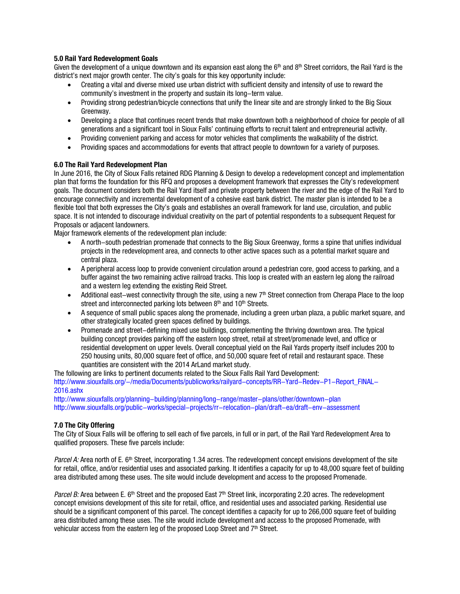# **5.0 Rail Yard Redevelopment Goals**

Given the development of a unique downtown and its expansion east along the 6<sup>th</sup> and 8<sup>th</sup> Street corridors, the Rail Yard is the district's next major growth center. The city's goals for this key opportunity include:

- Creating a vital and diverse mixed use urban district with sufficient density and intensity of use to reward the community's investment in the property and sustain its long-term value.
- Providing strong pedestrian/bicycle connections that unify the linear site and are strongly linked to the Big Sioux Greenway.
- Developing a place that continues recent trends that make downtown both a neighborhood of choice for people of all generations and a significant tool in Sioux Falls' continuing efforts to recruit talent and entrepreneurial activity.
- Providing convenient parking and access for motor vehicles that compliments the walkability of the district.
- Providing spaces and accommodations for events that attract people to downtown for a variety of purposes.

# **6.0 The Rail Yard Redevelopment Plan**

In June 2016, the City of Sioux Falls retained RDG Planning & Design to develop a redevelopment concept and implementation plan that forms the foundation for this RFQ and proposes a development framework that expresses the City's redevelopment goals. The document considers both the Rail Yard itself and private property between the river and the edge of the Rail Yard to encourage connectivity and incremental development of a cohesive east bank district. The master plan is intended to be a flexible tool that both expresses the City's goals and establishes an overall framework for land use, circulation, and public space. It is not intended to discourage individual creativity on the part of potential respondents to a subsequent Request for Proposals or adjacent landowners.

Major framework elements of the redevelopment plan include:

- A north-south pedestrian promenade that connects to the Big Sioux Greenway, forms a spine that unifies individual projects in the redevelopment area, and connects to other active spaces such as a potential market square and central plaza.
- A peripheral access loop to provide convenient circulation around a pedestrian core, good access to parking, and a buffer against the two remaining active railroad tracks. This loop is created with an eastern leg along the railroad and a western leg extending the existing Reid Street.
- Additional east-west connectivity through the site, using a new  $7<sup>th</sup>$  Street connection from Cherapa Place to the loop street and interconnected parking lots between 8<sup>th</sup> and 10<sup>th</sup> Streets.
- A sequence of small public spaces along the promenade, including a green urban plaza, a public market square, and other strategically located green spaces defined by buildings.
- Promenade and street-defining mixed use buildings, complementing the thriving downtown area. The typical building concept provides parking off the eastern loop street, retail at street/promenade level, and office or residential development on upper levels. Overall conceptual yield on the Rail Yards property itself includes 200 to 250 housing units, 80,000 square feet of office, and 50,000 square feet of retail and restaurant space. These quantities are consistent with the 2014 ArLand market study.

The following are links to pertinent documents related to the Sioux Falls Rail Yard Development: [http://www.siouxfalls.org/-/media/Documents/publicworks/railyard-concepts/RR-Yard-Redev-P1-Report\\_FINAL-](http://www.siouxfalls.org/-/media/Documents/publicworks/railyard-concepts/RR-Yard-Redev-P1-Report_FINAL-2016.ashx)[2016.ashx](http://www.siouxfalls.org/-/media/Documents/publicworks/railyard-concepts/RR-Yard-Redev-P1-Report_FINAL-2016.ashx)

<http://www.siouxfalls.org/planning-building/planning/long-range/master-plans/other/downtown-plan> <http://www.siouxfalls.org/public-works/special-projects/rr-relocation-plan/draft-ea/draft-env-assessment>

# **7.0 The City Offering**

The City of Sioux Falls will be offering to sell each of five parcels, in full or in part, of the Rail Yard Redevelopment Area to qualified proposers. These five parcels include:

Parcel A: Area north of E. 6<sup>th</sup> Street, incorporating 1.34 acres. The redevelopment concept envisions development of the site for retail, office, and/or residential uses and associated parking. It identifies a capacity for up to 48,000 square feet of building area distributed among these uses. The site would include development and access to the proposed Promenade.

Parcel B: Area between E. 6<sup>th</sup> Street and the proposed East  $7<sup>th</sup>$  Street link, incorporating 2.20 acres. The redevelopment concept envisions development of this site for retail, office, and residential uses and associated parking. Residential use should be a significant component of this parcel. The concept identifies a capacity for up to 266,000 square feet of building area distributed among these uses. The site would include development and access to the proposed Promenade, with vehicular access from the eastern leg of the proposed Loop Street and  $7<sup>th</sup>$  Street.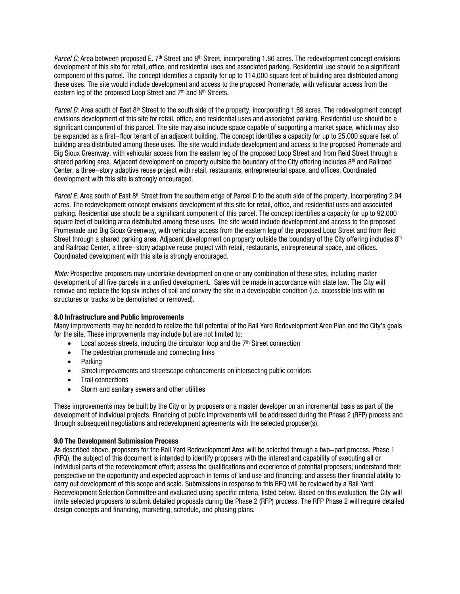Parcel C: Area between proposed E. 7<sup>th</sup> Street and 8<sup>th</sup> Street, incorporating 1.86 acres. The redevelopment concept envisions development of this site for retail, office, and residential uses and associated parking. Residential use should be a significant component of this parcel. The concept identifies a capacity for up to 114,000 square feet of building area distributed among these uses. The site would include development and access to the proposed Promenade, with vehicular access from the eastern leg of the proposed Loop Street and  $7<sup>th</sup>$  and  $8<sup>th</sup>$  Streets.

Parcel D: Area south of East  $8<sup>th</sup>$  Street to the south side of the property, incorporating 1.69 acres. The redevelopment concept envisions development of this site for retail, office, and residential uses and associated parking. Residential use should be a significant component of this parcel. The site may also include space capable of supporting a market space, which may also be expanded as a first-floor tenant of an adjacent building. The concept identifies a capacity for up to 25,000 square feet of building area distributed among these uses. The site would include development and access to the proposed Promenade and Big Sioux Greenway, with vehicular access from the eastern leg of the proposed Loop Street and from Reid Street through a shared parking area. Adjacent development on property outside the boundary of the City offering includes  $8<sup>th</sup>$  and Railroad Center, a three-story adaptive reuse project with retail, restaurants, entrepreneurial space, and offices. Coordinated development with this site is strongly encouraged.

Parcel E: Area south of East 8<sup>th</sup> Street from the southern edge of Parcel D to the south side of the property, incorporating 2.94 acres. The redevelopment concept envisions development of this site for retail, office, and residential uses and associated parking. Residential use should be a significant component of this parcel. The concept identifies a capacity for up to 92,000 square feet of building area distributed among these uses. The site would include development and access to the proposed Promenade and Big Sioux Greenway, with vehicular access from the eastern leg of the proposed Loop Street and from Reid Street through a shared parking area. Adjacent development on property outside the boundary of the City offering includes  $8<sup>th</sup>$ and Railroad Center, a three-story adaptive reuse project with retail, restaurants, entrepreneurial space, and offices. Coordinated development with this site is strongly encouraged.

Note: Prospective proposers may undertake development on one or any combination of these sites, including master development of all five parcels in a unified development. Sales will be made in accordance with state law. The City will remove and replace the top six inches of soil and convey the site in a developable condition (i.e. accessible lots with no structures or tracks to be demolished or removed).

# **8.0 Infrastructure and Public Improvements**

Many improvements may be needed to realize the full potential of the Rail Yard Redevelopment Area Plan and the City's goals for the site. These improvements may include but are not limited to:

- Local access streets, including the circulator loop and the  $7<sup>th</sup>$  Street connection
- The pedestrian promenade and connecting links
- Parking
- Street improvements and streetscape enhancements on intersecting public corridors
- Trail connections
- Storm and sanitary sewers and other utilities

These improvements may be built by the City or by proposers or a master developer on an incremental basis as part of the development of individual projects. Financing of public improvements will be addressed during the Phase 2 (RFP) process and through subsequent negotiations and redevelopment agreements with the selected proposer(s).

# **9.0 The Development Submission Process**

As described above, proposers for the Rail Yard Redevelopment Area will be selected through a two-part process. Phase 1 (RFQ), the subject of this document is intended to identify proposers with the interest and capability of executing all or individual parts of the redevelopment effort; assess the qualifications and experience of potential proposers; understand their perspective on the opportunity and expected approach in terms of land use and financing; and assess their financial ability to carry out development of this scope and scale. Submissions in response to this RFQ will be reviewed by a Rail Yard Redevelopment Selection Committee and evaluated using specific criteria, listed below. Based on this evaluation, the City will invite selected proposers to submit detailed proposals during the Phase 2 (RFP) process. The RFP Phase 2 will require detailed design concepts and financing, marketing, schedule, and phasing plans.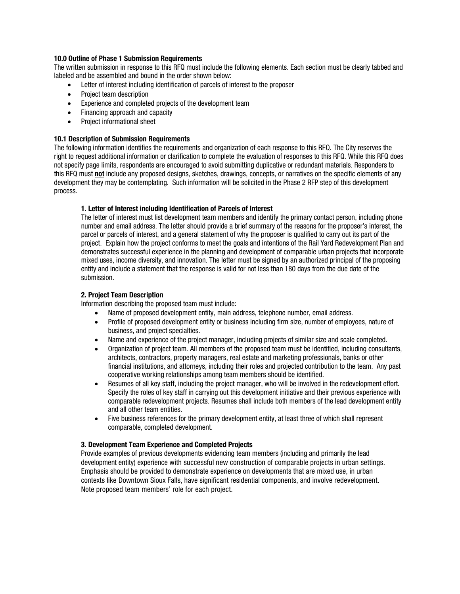### **10.0 Outline of Phase 1 Submission Requirements**

The written submission in response to this RFQ must include the following elements. Each section must be clearly tabbed and labeled and be assembled and bound in the order shown below:

- Letter of interest including identification of parcels of interest to the proposer
- Project team description
- Experience and completed projects of the development team
- Financing approach and capacity
- Project informational sheet

#### **10.1 Description of Submission Requirements**

The following information identifies the requirements and organization of each response to this RFQ. The City reserves the right to request additional information or clarification to complete the evaluation of responses to this RFQ. While this RFQ does not specify page limits, respondents are encouraged to avoid submitting duplicative or redundant materials. Responders to this RFQ must **not** include any proposed designs, sketches, drawings, concepts, or narratives on the specific elements of any development they may be contemplating. Such information will be solicited in the Phase 2 RFP step of this development process.

#### **1. Letter of Interest including Identification of Parcels of Interest**

The letter of interest must list development team members and identify the primary contact person, including phone number and email address. The letter should provide a brief summary of the reasons for the proposer's interest, the parcel or parcels of interest, and a general statement of why the proposer is qualified to carry out its part of the project. Explain how the project conforms to meet the goals and intentions of the Rail Yard Redevelopment Plan and demonstrates successful experience in the planning and development of comparable urban projects that incorporate mixed uses, income diversity, and innovation. The letter must be signed by an authorized principal of the proposing entity and include a statement that the response is valid for not less than 180 days from the due date of the submission.

## **2. Project Team Description**

Information describing the proposed team must include:

- Name of proposed development entity, main address, telephone number, email address.
- Profile of proposed development entity or business including firm size, number of employees, nature of business, and project specialties.
- Name and experience of the project manager, including projects of similar size and scale completed.
- Organization of project team. All members of the proposed team must be identified, including consultants, architects, contractors, property managers, real estate and marketing professionals, banks or other financial institutions, and attorneys, including their roles and projected contribution to the team. Any past cooperative working relationships among team members should be identified.
- Resumes of all key staff, including the project manager, who will be involved in the redevelopment effort. Specify the roles of key staff in carrying out this development initiative and their previous experience with comparable redevelopment projects. Resumes shall include both members of the lead development entity and all other team entities.
- Five business references for the primary development entity, at least three of which shall represent comparable, completed development.

#### **3. Development Team Experience and Completed Projects**

Provide examples of previous developments evidencing team members (including and primarily the lead development entity) experience with successful new construction of comparable projects in urban settings. Emphasis should be provided to demonstrate experience on developments that are mixed use, in urban contexts like Downtown Sioux Falls, have significant residential components, and involve redevelopment. Note proposed team members' role for each project.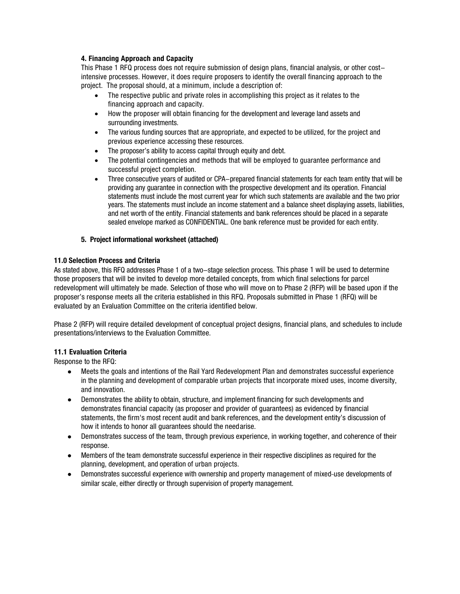# **4. Financing Approach and Capacity**

This Phase 1 RFQ process does not require submission of design plans, financial analysis, or other costintensive processes. However, it does require proposers to identify the overall financing approach to the project. The proposal should, at a minimum, include a description of:

- The respective public and private roles in accomplishing this project as it relates to the financing approach and capacity.
- How the proposer will obtain financing for the development and leverage land assets and surrounding investments.
- The various funding sources that are appropriate, and expected to be utilized, for the project and previous experience accessing these resources.
- The proposer's ability to access capital through equity and debt.
- The potential contingencies and methods that will be employed to quarantee performance and successful project completion.
- Three consecutive years of audited or CPA-prepared financial statements for each team entity that will be providing any guarantee in connection with the prospective development and its operation. Financial statements must include the most current year for which such statements are available and the two prior years. The statements must include an income statement and a balance sheet displaying assets, liabilities, and net worth of the entity. Financial statements and bank references should be placed in a separate sealed envelope marked as CONFIDENTIAL. One bank reference must be provided for each entity.

# **5. Project informational worksheet (attached)**

# **11.0 Selection Process and Criteria**

As stated above, this RFQ addresses Phase 1 of a two-stage selection process. This phase 1 will be used to determine those proposers that will be invited to develop more detailed concepts, from which final selections for parcel redevelopment will ultimately be made. Selection of those who will move on to Phase 2 (RFP) will be based upon if the proposer's response meets all the criteria established in this RFQ. Proposals submitted in Phase 1 (RFQ) will be evaluated by an Evaluation Committee on the criteria identified below.

Phase 2 (RFP) will require detailed development of conceptual project designs, financial plans, and schedules to include presentations/interviews to the Evaluation Committee.

# **11.1 Evaluation Criteria**

Response to the RFQ:

- Meets the goals and intentions of the Rail Yard Redevelopment Plan and demonstrates successful experience in the planning and development of comparable urban projects that incorporate mixed uses, income diversity, and innovation.
- Demonstrates the ability to obtain, structure, and implement financing for such developments and demonstrates financial capacity (as proposer and provider of guarantees) as evidenced by financial statements, the firm's most recent audit and bank references, and the development entity's discussion of how it intends to honor all guarantees should the needarise.
- Demonstrates success of the team, through previous experience, in working together, and coherence of their response.
- Members of the team demonstrate successful experience in their respective disciplines as required for the planning, development, and operation of urban projects.
- Demonstrates successful experience with ownership and property management of mixed-use developments of similar scale, either directly or through supervision of property management.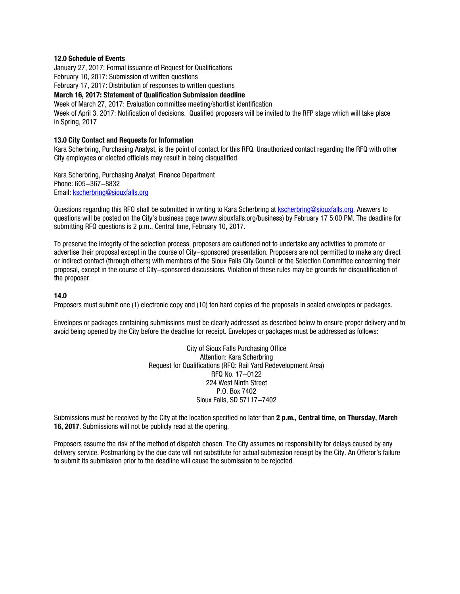#### **12.0 Schedule of Events**

January 27, 2017: Formal issuance of Request for Qualifications

February 10, 2017: Submission of written questions

February 17, 2017: Distribution of responses to written questions

**March 16, 2017: Statement of Qualification Submission deadline**

Week of March 27, 2017: Evaluation committee meeting/shortlist identification Week of April 3, 2017: Notification of decisions. Qualified proposers will be invited to the RFP stage which will take place in Spring, 2017

## **13.0 City Contact and Requests for Information**

Kara Scherbring, Purchasing Analyst, is the point of contact for this RFQ. Unauthorized contact regarding the RFQ with other City employees or elected officials may result in being disqualified.

Kara Scherbring, Purchasing Analyst, Finance Department Phone: 605-367-8832 Email: [kscherbring@siouxfalls.org](mailto:kscherbring@siouxfalls.org)

Questions regarding this RFQ shall be submitted in writing to Kara Scherbring at [kscherbring@siouxfalls.org.](mailto:kscherbring@siouxfalls.org) Answers to questions will be posted on the City's business page [\(www.siouxfalls.org/business\)](http://www.siouxfalls.org/business) by February 17 5:00 PM. The deadline for submitting RFQ questions is 2 p.m., Central time, February 10, 2017.

To preserve the integrity of the selection process, proposers are cautioned not to undertake any activities to promote or advertise their proposal except in the course of City-sponsored presentation. Proposers are not permitted to make any direct or indirect contact (through others) with members of the Sioux Falls City Council or the Selection Committee concerning their proposal, except in the course of City-sponsored discussions. Violation of these rules may be grounds for disqualification of the proposer.

#### **14.0**

Proposers must submit one (1) electronic copy and (10) ten hard copies of the proposals in sealed envelopes or packages.

Envelopes or packages containing submissions must be clearly addressed as described below to ensure proper delivery and to avoid being opened by the City before the deadline for receipt. Envelopes or packages must be addressed as follows:

> City of Sioux Falls Purchasing Office Attention: Kara Scherbring Request for Qualifications (RFQ: Rail Yard Redevelopment Area) RFQ No. 17-0122 224 West Ninth Street P.O. Box 7402 Sioux Falls, SD 57117-7402

Submissions must be received by the City at the location specified no later than **2 p.m., Central time, on Thursday, March 16, 2017**. Submissions will not be publicly read at the opening.

Proposers assume the risk of the method of dispatch chosen. The City assumes no responsibility for delays caused by any delivery service. Postmarking by the due date will not substitute for actual submission receipt by the City. An Offeror's failure to submit its submission prior to the deadline will cause the submission to be rejected.